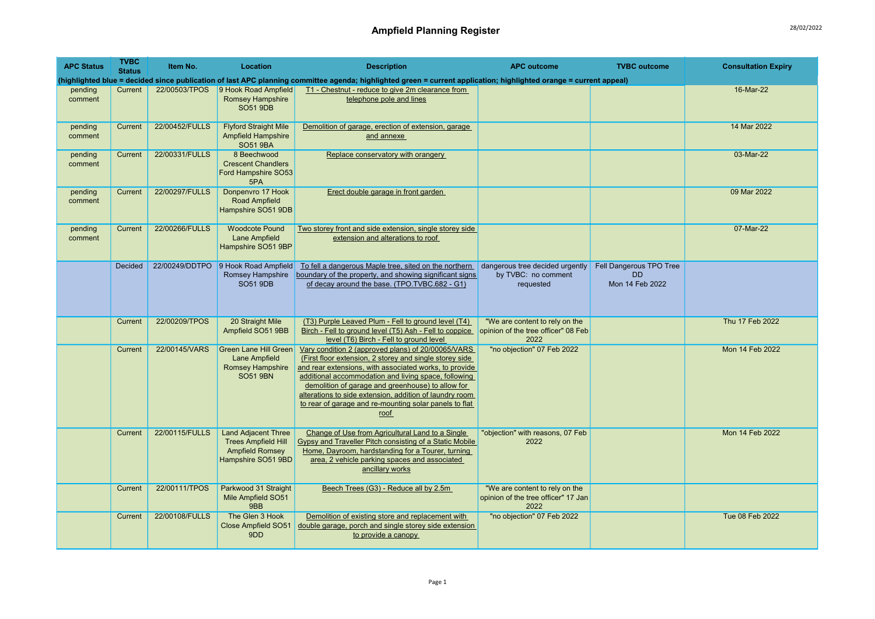| <b>APC Status</b>  | <b>TVBC</b><br><b>Status</b> | Item No.       | Location                                                                                                 | <b>Description</b>                                                                                                                                                                                                                                                                                                                                                                                                | <b>APC outcome</b>                                                            | <b>TVBC</b> outcome                                     | <b>Consultation Expiry</b> |
|--------------------|------------------------------|----------------|----------------------------------------------------------------------------------------------------------|-------------------------------------------------------------------------------------------------------------------------------------------------------------------------------------------------------------------------------------------------------------------------------------------------------------------------------------------------------------------------------------------------------------------|-------------------------------------------------------------------------------|---------------------------------------------------------|----------------------------|
|                    |                              |                |                                                                                                          | (highlighted blue = decided since publication of last APC planning committee agenda; highlighted green = current application; highlighted orange = current appeal)                                                                                                                                                                                                                                                |                                                                               |                                                         |                            |
| pending<br>comment | Current                      |                | 22/00503/TPOS 9 Hook Road Ampfield<br><b>Romsey Hampshire</b><br><b>SO51 9DB</b>                         | T1 - Chestnut - reduce to give 2m clearance from<br>telephone pole and lines                                                                                                                                                                                                                                                                                                                                      |                                                                               |                                                         | 16-Mar-22                  |
| pending<br>comment | Current                      | 22/00452/FULLS | <b>Flyford Straight Mile</b><br><b>Ampfield Hampshire</b><br><b>SO51 9BA</b>                             | Demolition of garage, erection of extension, garage<br>and annexe                                                                                                                                                                                                                                                                                                                                                 |                                                                               |                                                         | 14 Mar 2022                |
| pending<br>comment | Current                      | 22/00331/FULLS | 8 Beechwood<br><b>Crescent Chandlers</b><br>Ford Hampshire SO53<br>5PA                                   | Replace conservatory with orangery                                                                                                                                                                                                                                                                                                                                                                                |                                                                               |                                                         | 03-Mar-22                  |
| pending<br>comment | Current                      | 22/00297/FULLS | Donpenvro 17 Hook<br><b>Road Ampfield</b><br>Hampshire SO51 9DB                                          | Erect double garage in front garden                                                                                                                                                                                                                                                                                                                                                                               |                                                                               |                                                         | 09 Mar 2022                |
| pending<br>comment | Current                      | 22/00266/FULLS | <b>Woodcote Pound</b><br><b>Lane Ampfield</b><br>Hampshire SO51 9BP                                      | Two storey front and side extension, single storey side<br>extension and alterations to roof                                                                                                                                                                                                                                                                                                                      |                                                                               |                                                         | 07-Mar-22                  |
|                    | Decided                      |                | 22/00249/DDTPO 9 Hook Road Ampfield<br>Romsey Hampshire<br><b>SO51 9DB</b>                               | To fell a dangerous Maple tree, sited on the northern<br>boundary of the property, and showing significant signs<br>of decay around the base. (TPO.TVBC.682 - G1)                                                                                                                                                                                                                                                 | dangerous tree decided urgently<br>by TVBC: no comment<br>requested           | Fell Dangerous TPO Tree<br><b>DD</b><br>Mon 14 Feb 2022 |                            |
|                    | Current                      | 22/00209/TPOS  | 20 Straight Mile<br>Ampfield SO51 9BB                                                                    | (T3) Purple Leaved Plum - Fell to ground level (T4)<br>Birch - Fell to ground level (T5) Ash - Fell to coppice<br>level (T6) Birch - Fell to ground level                                                                                                                                                                                                                                                         | "We are content to rely on the<br>opinion of the tree officer" 08 Feb<br>2022 |                                                         | Thu 17 Feb 2022            |
|                    | Current                      | 22/00145/VARS  | <b>Green Lane Hill Green</b><br>Lane Ampfield<br>Romsey Hampshire<br><b>SO51 9BN</b>                     | Vary condition 2 (approved plans) of 20/00065/VARS<br>(First floor extension, 2 storey and single storey side<br>and rear extensions, with associated works, to provide<br>additional accommodation and living space, following<br>demolition of garage and greenhouse) to allow for<br>alterations to side extension, addition of laundry room<br>to rear of garage and re-mounting solar panels to flat<br>roof | "no objection" 07 Feb 2022                                                    |                                                         | Mon 14 Feb 2022            |
|                    | Current                      | 22/00115/FULLS | <b>Land Adjacent Three</b><br><b>Trees Ampfield Hill</b><br><b>Ampfield Romsey</b><br>Hampshire SO51 9BD | Change of Use from Agricultural Land to a Single<br><b>Gypsy and Traveller Pitch consisting of a Static Mobile</b><br>Home, Dayroom, hardstanding for a Tourer, turning<br>area, 2 vehicle parking spaces and associated<br>ancillary works                                                                                                                                                                       | "objection" with reasons, 07 Feb<br>2022                                      |                                                         | <b>Mon 14 Feb 2022</b>     |
|                    | Current                      | 22/00111/TPOS  | Parkwood 31 Straight<br>Mile Ampfield SO51<br>9BB                                                        | Beech Trees (G3) - Reduce all by 2.5m                                                                                                                                                                                                                                                                                                                                                                             | "We are content to rely on the<br>opinion of the tree officer" 17 Jan<br>2022 |                                                         |                            |
|                    | Current                      | 22/00108/FULLS | The Glen 3 Hook<br><b>Close Ampfield SO51</b><br>9DD                                                     | Demolition of existing store and replacement with<br>double garage, porch and single storey side extension<br>to provide a canopy                                                                                                                                                                                                                                                                                 | "no objection" 07 Feb 2022                                                    |                                                         | Tue 08 Feb 2022            |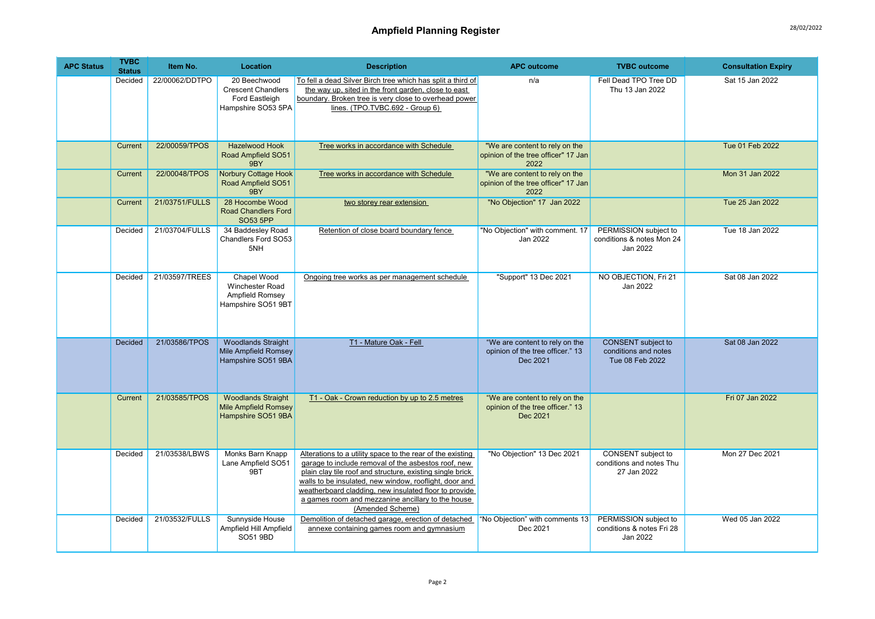## Ampfield Planning Register 28/02/2022

| <b>APC Status</b> | <b>TVBC</b><br><b>Status</b> | Item No.       | Location                                                                          | <b>Description</b>                                                                                                                                                                                                                                                                                                                                                         | <b>APC outcome</b>                                                             | <b>TVBC</b> outcome                                                  | <b>Consultation Expiry</b> |
|-------------------|------------------------------|----------------|-----------------------------------------------------------------------------------|----------------------------------------------------------------------------------------------------------------------------------------------------------------------------------------------------------------------------------------------------------------------------------------------------------------------------------------------------------------------------|--------------------------------------------------------------------------------|----------------------------------------------------------------------|----------------------------|
|                   | Decided                      | 22/00062/DDTPO | 20 Beechwood<br><b>Crescent Chandlers</b><br>Ford Eastleigh<br>Hampshire SO53 5PA | To fell a dead Silver Birch tree which has split a third of<br>the way up, sited in the front garden, close to east<br>boundary. Broken tree is very close to overhead power<br>lines. (TPO.TVBC.692 - Group 6)                                                                                                                                                            | n/a                                                                            | Fell Dead TPO Tree DD<br>Thu 13 Jan 2022                             | Sat 15 Jan 2022            |
|                   | Current                      | 22/00059/TPOS  | <b>Hazelwood Hook</b><br>Road Ampfield SO51<br>9BY                                | Tree works in accordance with Schedule                                                                                                                                                                                                                                                                                                                                     | "We are content to rely on the<br>opinion of the tree officer" 17 Jan<br>2022  |                                                                      | Tue 01 Feb 2022            |
|                   | Current                      | 22/00048/TPOS  | Norbury Cottage Hook<br>Road Ampfield SO51<br>9BY                                 | Tree works in accordance with Schedule                                                                                                                                                                                                                                                                                                                                     | "We are content to rely on the<br>opinion of the tree officer" 17 Jan<br>2022  |                                                                      | Mon 31 Jan 2022            |
|                   | Current                      | 21/03751/FULLS | 28 Hocombe Wood<br><b>Road Chandlers Ford</b><br><b>SO53 5PP</b>                  | two storey rear extension                                                                                                                                                                                                                                                                                                                                                  | "No Objection" 17 Jan 2022                                                     |                                                                      | Tue 25 Jan 2022            |
|                   | Decided                      | 21/03704/FULLS | 34 Baddesley Road<br>Chandlers Ford SO53<br>5NH                                   | Retention of close board boundary fence                                                                                                                                                                                                                                                                                                                                    | "No Objection" with comment. 17<br>Jan 2022                                    | PERMISSION subject to<br>conditions & notes Mon 24<br>Jan 2022       | Tue 18 Jan 2022            |
|                   | Decided                      | 21/03597/TREES | Chapel Wood<br>Winchester Road<br>Ampfield Romsey<br>Hampshire SO51 9BT           | Ongoing tree works as per management schedule                                                                                                                                                                                                                                                                                                                              | "Support" 13 Dec 2021                                                          | NO OBJECTION, Fri 21<br>Jan 2022                                     | Sat 08 Jan 2022            |
|                   | <b>Decided</b>               | 21/03586/TPOS  | <b>Woodlands Straight</b><br><b>Mile Ampfield Romsey</b><br>Hampshire SO51 9BA    | T1 - Mature Oak - Fell                                                                                                                                                                                                                                                                                                                                                     | "We are content to rely on the<br>opinion of the tree officer." 13<br>Dec 2021 | <b>CONSENT</b> subject to<br>conditions and notes<br>Tue 08 Feb 2022 | Sat 08 Jan 2022            |
|                   | Current                      | 21/03585/TPOS  | <b>Woodlands Straight</b><br><b>Mile Ampfield Romsey</b><br>Hampshire SO51 9BA    | T1 - Oak - Crown reduction by up to 2.5 metres                                                                                                                                                                                                                                                                                                                             | "We are content to rely on the<br>opinion of the tree officer." 13<br>Dec 2021 |                                                                      | Fri 07 Jan 2022            |
|                   | Decided                      | 21/03538/LBWS  | Monks Barn Knapp<br>Lane Ampfield SO51<br>9BT                                     | Alterations to a utility space to the rear of the existing<br>garage to include removal of the asbestos roof, new<br>plain clay tile roof and structure, existing single brick<br>walls to be insulated, new window, rooflight, door and<br>weatherboard cladding, new insulated floor to provide<br>a games room and mezzanine ancillary to the house<br>(Amended Scheme) | "No Objection" 13 Dec 2021                                                     | CONSENT subject to<br>conditions and notes Thu<br>27 Jan 2022        | Mon 27 Dec 2021            |
|                   | Decided                      | 21/03532/FULLS | Sunnyside House<br>Ampfield Hill Ampfield<br>SO51 9BD                             | Demolition of detached garage, erection of detached<br>annexe containing games room and gymnasium                                                                                                                                                                                                                                                                          | "No Objection" with comments 13<br>Dec 2021                                    | PERMISSION subject to<br>conditions & notes Fri 28<br>Jan 2022       | Wed 05 Jan 2022            |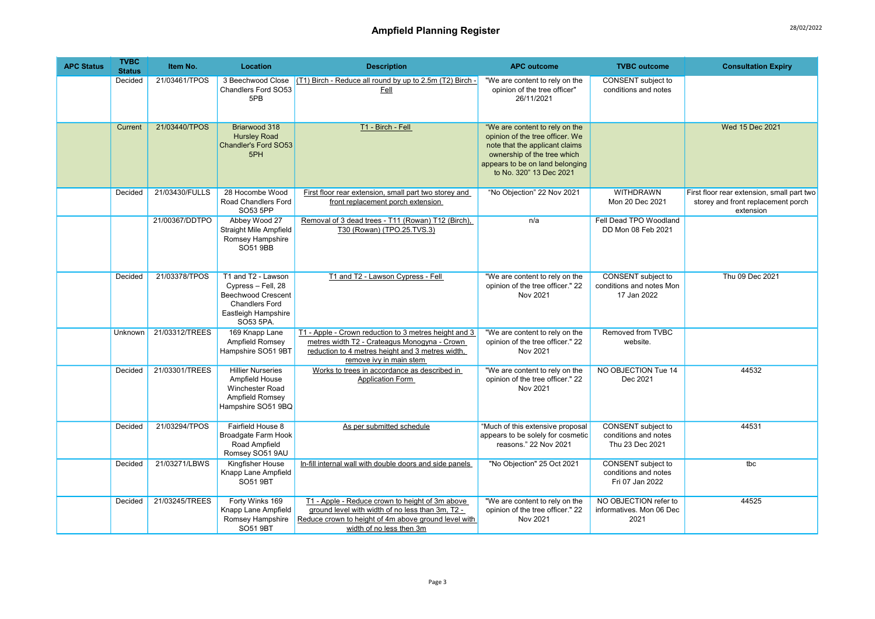| <b>APC Status</b> | <b>TVBC</b><br><b>Status</b> | Item No.       | Location                                                                                                                           | <b>Description</b>                                                                                                                                                                      | <b>APC outcome</b>                                                                                                                                                                               | <b>TVBC</b> outcome                                           | <b>Consultation Expiry</b>                                                                    |
|-------------------|------------------------------|----------------|------------------------------------------------------------------------------------------------------------------------------------|-----------------------------------------------------------------------------------------------------------------------------------------------------------------------------------------|--------------------------------------------------------------------------------------------------------------------------------------------------------------------------------------------------|---------------------------------------------------------------|-----------------------------------------------------------------------------------------------|
|                   | Decided                      | 21/03461/TPOS  | 3 Beechwood Close<br>Chandlers Ford SO53<br>5PB                                                                                    | (T1) Birch - Reduce all round by up to 2.5m (T2) Birch -<br>Fell                                                                                                                        | "We are content to rely on the<br>opinion of the tree officer"<br>26/11/2021                                                                                                                     | CONSENT subject to<br>conditions and notes                    |                                                                                               |
|                   | Current                      | 21/03440/TPOS  | Briarwood 318<br><b>Hursley Road</b><br>Chandler's Ford SO53<br>5PH                                                                | T1 - Birch - Fell                                                                                                                                                                       | "We are content to rely on the<br>opinion of the tree officer. We<br>note that the applicant claims<br>ownership of the tree which<br>appears to be on land belonging<br>to No. 320" 13 Dec 2021 |                                                               | Wed 15 Dec 2021                                                                               |
|                   | Decided                      | 21/03430/FULLS | 28 Hocombe Wood<br>Road Chandlers Ford<br>SO53 5PP                                                                                 | First floor rear extension, small part two storey and<br>front replacement porch extension                                                                                              | "No Objection" 22 Nov 2021                                                                                                                                                                       | <b>WITHDRAWN</b><br>Mon 20 Dec 2021                           | First floor rear extension, small part two<br>storey and front replacement porch<br>extension |
|                   |                              | 21/00367/DDTPO | Abbey Wood 27<br>Straight Mile Ampfield<br>Romsey Hampshire<br>SO51 9BB                                                            | Removal of 3 dead trees - T11 (Rowan) T12 (Birch),<br>T30 (Rowan) (TPO.25.TVS.3)                                                                                                        | n/a                                                                                                                                                                                              | Fell Dead TPO Woodland<br>DD Mon 08 Feb 2021                  |                                                                                               |
|                   | Decided                      | 21/03378/TPOS  | T1 and T2 - Lawson<br>Cypress - Fell, 28<br><b>Beechwood Crescent</b><br><b>Chandlers Ford</b><br>Eastleigh Hampshire<br>SO53 5PA. | T1 and T2 - Lawson Cypress - Fell                                                                                                                                                       | "We are content to rely on the<br>opinion of the tree officer." 22<br>Nov 2021                                                                                                                   | CONSENT subject to<br>conditions and notes Mon<br>17 Jan 2022 | Thu 09 Dec 2021                                                                               |
|                   | Unknown                      | 21/03312/TREES | 169 Knapp Lane<br>Ampfield Romsey<br>Hampshire SO51 9BT                                                                            | T1 - Apple - Crown reduction to 3 metres height and 3<br>metres width T2 - Crateagus Monogyna - Crown<br>reduction to 4 metres height and 3 metres width,<br>remove ivy in main stem    | "We are content to rely on the<br>opinion of the tree officer." 22<br>Nov 2021                                                                                                                   | Removed from TVBC<br>website.                                 |                                                                                               |
|                   | Decided                      | 21/03301/TREES | <b>Hillier Nurseries</b><br>Ampfield House<br>Winchester Road<br>Ampfield Romsey<br>Hampshire SO51 9BQ                             | Works to trees in accordance as described in<br><b>Application Form</b>                                                                                                                 | "We are content to rely on the<br>opinion of the tree officer." 22<br>Nov 2021                                                                                                                   | NO OBJECTION Tue 14<br>Dec 2021                               | 44532                                                                                         |
|                   | Decided                      | 21/03294/TPOS  | Fairfield House 8<br>Broadgate Farm Hook<br>Road Ampfield<br>Romsey SO51 9AU                                                       | As per submitted schedule                                                                                                                                                               | "Much of this extensive proposal<br>appears to be solely for cosmetic<br>reasons." 22 Nov 2021                                                                                                   | CONSENT subject to<br>conditions and notes<br>Thu 23 Dec 2021 | 44531                                                                                         |
|                   | Decided                      | 21/03271/LBWS  | Kingfisher House<br>Knapp Lane Ampfield<br><b>SO51 9BT</b>                                                                         | In-fill internal wall with double doors and side panels                                                                                                                                 | "No Objection" 25 Oct 2021                                                                                                                                                                       | CONSENT subject to<br>conditions and notes<br>Fri 07 Jan 2022 | tbc                                                                                           |
|                   | Decided                      | 21/03245/TREES | Forty Winks 169<br>Knapp Lane Ampfield<br>Romsey Hampshire<br><b>SO51 9BT</b>                                                      | T1 - Apple - Reduce crown to height of 3m above<br>ground level with width of no less than 3m, T2 -<br>Reduce crown to height of 4m above ground level with<br>width of no less then 3m | "We are content to rely on the<br>opinion of the tree officer." 22<br>Nov 2021                                                                                                                   | NO OBJECTION refer to<br>informatives. Mon 06 Dec<br>2021     | 44525                                                                                         |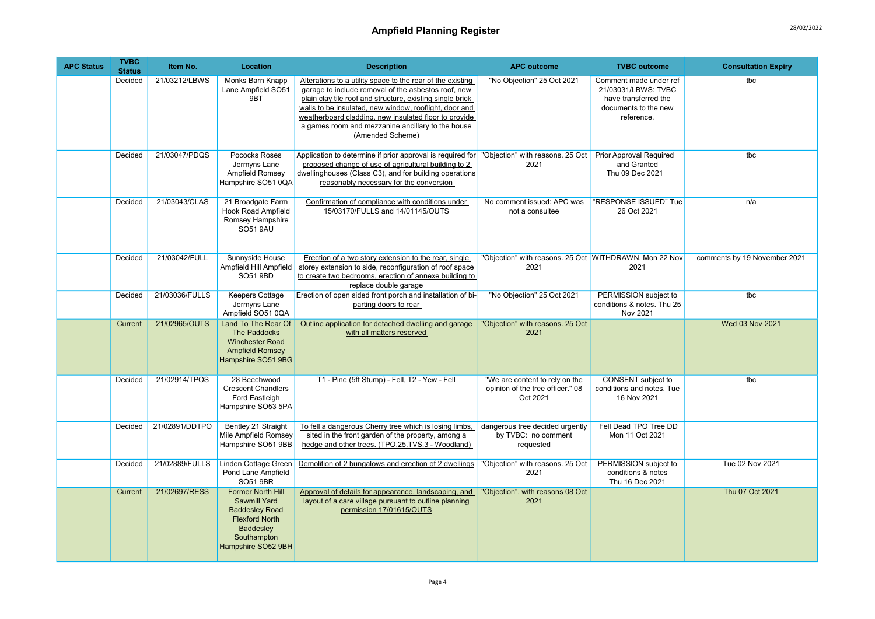## Ampfield Planning Register 28/02/2022

| <b>APC Status</b> | <b>TVBC</b><br><b>Status</b> | Item No.       | Location                                                                                                                                            | <b>Description</b>                                                                                                                                                                                                                                                                                                                                                         | <b>APC outcome</b>                                                             | <b>TVBC</b> outcome                                                                                         | <b>Consultation Expiry</b>   |
|-------------------|------------------------------|----------------|-----------------------------------------------------------------------------------------------------------------------------------------------------|----------------------------------------------------------------------------------------------------------------------------------------------------------------------------------------------------------------------------------------------------------------------------------------------------------------------------------------------------------------------------|--------------------------------------------------------------------------------|-------------------------------------------------------------------------------------------------------------|------------------------------|
|                   | Decided                      | 21/03212/LBWS  | Monks Barn Knapp<br>Lane Ampfield SO51<br>9BT                                                                                                       | Alterations to a utility space to the rear of the existing<br>garage to include removal of the asbestos roof, new<br>plain clay tile roof and structure, existing single brick<br>walls to be insulated, new window, rooflight, door and<br>weatherboard cladding, new insulated floor to provide<br>a games room and mezzanine ancillary to the house<br>(Amended Scheme) | "No Objection" 25 Oct 2021                                                     | Comment made under ref<br>21/03031/LBWS: TVBC<br>have transferred the<br>documents to the new<br>reference. | tbc                          |
|                   | Decided                      | 21/03047/PDQS  | Pococks Roses<br>Jermyns Lane<br>Ampfield Romsey<br>Hampshire SO51 0QA                                                                              | Application to determine if prior approval is required for "Objection" with reasons. 25 Oct Prior Approval Required<br>proposed change of use of agricultural building to 2<br>dwellinghouses (Class C3), and for building operations<br>reasonably necessary for the conversion                                                                                           | 2021                                                                           | and Granted<br>Thu 09 Dec 2021                                                                              | tbc                          |
|                   | Decided                      | 21/03043/CLAS  | 21 Broadgate Farm<br><b>Hook Road Ampfield</b><br>Romsey Hampshire<br><b>SO51 9AU</b>                                                               | Confirmation of compliance with conditions under<br>15/03170/FULLS and 14/01145/OUTS                                                                                                                                                                                                                                                                                       | No comment issued: APC was<br>not a consultee                                  | "RESPONSE ISSUED" Tue<br>26 Oct 2021                                                                        | n/a                          |
|                   | Decided                      | 21/03042/FULL  | Sunnyside House<br>Ampfield Hill Ampfield<br>SO51 9BD                                                                                               | Erection of a two story extension to the rear, single<br>storey extension to side, reconfiguration of roof space<br>to create two bedrooms, erection of annexe building to<br>replace double garage                                                                                                                                                                        | "Objection" with reasons. 25 Oct WITHDRAWN. Mon 22 Nov<br>2021                 | 2021                                                                                                        | comments by 19 November 2021 |
|                   | Decided                      | 21/03036/FULLS | <b>Keepers Cottage</b><br>Jermyns Lane<br>Ampfield SO51 0QA                                                                                         | Erection of open sided front porch and installation of bi-<br>parting doors to rear                                                                                                                                                                                                                                                                                        | "No Objection" 25 Oct 2021                                                     | PERMISSION subject to<br>conditions & notes. Thu 25<br>Nov 2021                                             | tbc                          |
|                   | Current                      | 21/02965/OUTS  | Land To The Rear Of<br>The Paddocks<br><b>Winchester Road</b><br><b>Ampfield Romsey</b><br>Hampshire SO51 9BG                                       | Outline application for detached dwelling and garage<br>with all matters reserved                                                                                                                                                                                                                                                                                          | "Objection" with reasons. 25 Oct<br>2021                                       |                                                                                                             | Wed 03 Nov 2021              |
|                   | Decided                      | 21/02914/TPOS  | 28 Beechwood<br><b>Crescent Chandlers</b><br>Ford Eastleigh<br>Hampshire SO53 5PA                                                                   | T1 - Pine (5ft Stump) - Fell, T2 - Yew - Fell                                                                                                                                                                                                                                                                                                                              | "We are content to rely on the<br>opinion of the tree officer." 08<br>Oct 2021 | CONSENT subject to<br>conditions and notes. Tue<br>16 Nov 2021                                              | tbc                          |
|                   | Decided                      | 21/02891/DDTPO | Bentley 21 Straight<br>Mile Ampfield Romsey<br>Hampshire SO51 9BB                                                                                   | To fell a dangerous Cherry tree which is losing limbs,<br>sited in the front garden of the property, among a<br>hedge and other trees. (TPO.25.TVS.3 - Woodland)                                                                                                                                                                                                           | dangerous tree decided urgently<br>by TVBC: no comment<br>requested            | Fell Dead TPO Tree DD<br>Mon 11 Oct 2021                                                                    |                              |
|                   | Decided                      | 21/02889/FULLS | Linden Cottage Green<br>Pond Lane Ampfield<br>SO51 9BR                                                                                              | Demolition of 2 bungalows and erection of 2 dwellings                                                                                                                                                                                                                                                                                                                      | "Objection" with reasons. 25 Oct<br>2021                                       | PERMISSION subject to<br>conditions & notes<br>Thu 16 Dec 2021                                              | Tue 02 Nov 2021              |
|                   | Current                      | 21/02697/RESS  | Former North Hill<br><b>Sawmill Yard</b><br><b>Baddesley Road</b><br><b>Flexford North</b><br><b>Baddesley</b><br>Southampton<br>Hampshire SO52 9BH | Approval of details for appearance, landscaping, and<br>layout of a care village pursuant to outline planning<br>permission 17/01615/OUTS                                                                                                                                                                                                                                  | "Objection", with reasons 08 Oct<br>2021                                       |                                                                                                             | Thu 07 Oct 2021              |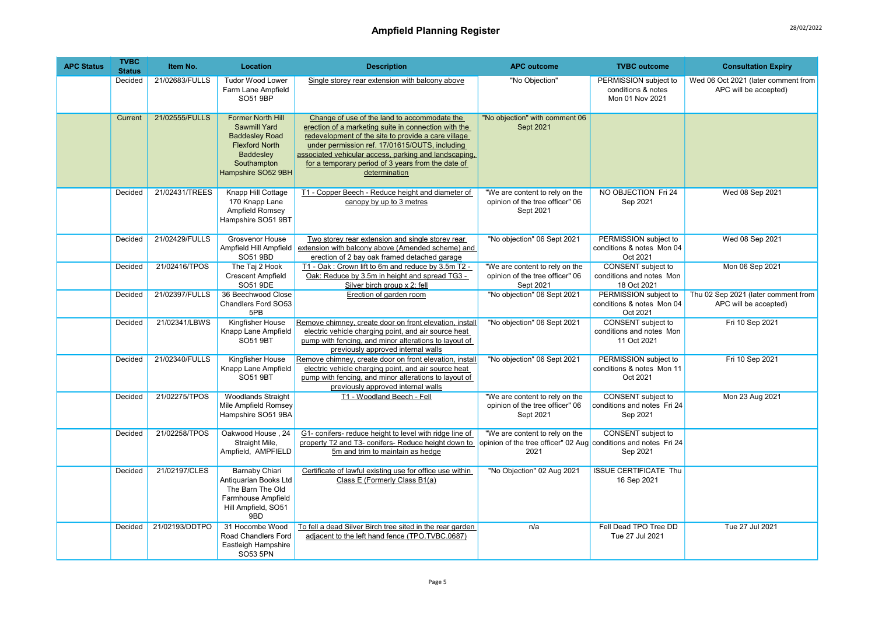| <b>APC Status</b> | <b>TVBC</b><br><b>Status</b> | Item No.       | Location                                                                                                                                            | <b>Description</b>                                                                                                                                                                                                                                                                                                                            | <b>APC outcome</b>                                                                                        | <b>TVBC</b> outcome                                                  | <b>Consultation Expiry</b>                                   |
|-------------------|------------------------------|----------------|-----------------------------------------------------------------------------------------------------------------------------------------------------|-----------------------------------------------------------------------------------------------------------------------------------------------------------------------------------------------------------------------------------------------------------------------------------------------------------------------------------------------|-----------------------------------------------------------------------------------------------------------|----------------------------------------------------------------------|--------------------------------------------------------------|
|                   | Decided                      | 21/02683/FULLS | <b>Tudor Wood Lower</b><br>Farm Lane Ampfield<br><b>SO51 9BP</b>                                                                                    | Single storey rear extension with balcony above                                                                                                                                                                                                                                                                                               | "No Objection"                                                                                            | PERMISSION subject to<br>conditions & notes<br>Mon 01 Nov 2021       | Wed 06 Oct 2021 (later comment from<br>APC will be accepted) |
|                   | Current                      | 21/02555/FULLS | <b>Former North Hill</b><br><b>Sawmill Yard</b><br><b>Baddesley Road</b><br><b>Flexford North</b><br>Baddesley<br>Southampton<br>Hampshire SO52 9BH | Change of use of the land to accommodate the<br>erection of a marketing suite in connection with the<br>redevelopment of the site to provide a care village<br>under permission ref. 17/01615/OUTS, including<br>associated vehicular access, parking and landscaping,<br>for a temporary period of 3 years from the date of<br>determination | "No objection" with comment 06<br>Sept 2021                                                               |                                                                      |                                                              |
|                   | Decided                      | 21/02431/TREES | Knapp Hill Cottage<br>170 Knapp Lane<br>Ampfield Romsey<br>Hampshire SO51 9BT                                                                       | T1 - Copper Beech - Reduce height and diameter of<br>canopy by up to 3 metres                                                                                                                                                                                                                                                                 | "We are content to rely on the<br>opinion of the tree officer" 06<br>Sept 2021                            | NO OBJECTION Fri 24<br>Sep 2021                                      | Wed 08 Sep 2021                                              |
|                   | Decided                      | 21/02429/FULLS | <b>Grosvenor House</b><br>Ampfield Hill Ampfield<br>SO51 9BD                                                                                        | Two storey rear extension and single storey rear<br>extension with balcony above (Amended scheme) and<br>erection of 2 bay oak framed detached garage                                                                                                                                                                                         | "No objection" 06 Sept 2021                                                                               | PERMISSION subject to<br>conditions & notes Mon 04<br>Oct 2021       | Wed 08 Sep 2021                                              |
|                   | Decided                      | 21/02416/TPOS  | The Taj 2 Hook<br><b>Crescent Ampfield</b><br>SO51 9DE                                                                                              | T1 - Oak: Crown lift to 6m and reduce by 3.5m T2 -<br>Oak: Reduce by 3.5m in height and spread TG3 -<br>Silver birch group x 2: fell                                                                                                                                                                                                          | "We are content to rely on the<br>opinion of the tree officer" 06<br>Sept 2021                            | <b>CONSENT</b> subject to<br>conditions and notes Mon<br>18 Oct 2021 | Mon 06 Sep 2021                                              |
|                   | Decided                      | 21/02397/FULLS | 36 Beechwood Close<br>Chandlers Ford SO53<br>5PB                                                                                                    | Erection of garden room                                                                                                                                                                                                                                                                                                                       | "No objection" 06 Sept 2021                                                                               | PERMISSION subject to<br>conditions & notes Mon 04<br>Oct 2021       | Thu 02 Sep 2021 (later comment from<br>APC will be accepted) |
|                   | Decided                      | 21/02341/LBWS  | Kingfisher House<br>Knapp Lane Ampfield<br><b>SO51 9BT</b>                                                                                          | Remove chimney, create door on front elevation, install<br>electric vehicle charging point, and air source heat<br>pump with fencing, and minor alterations to layout of<br>previously approved internal walls                                                                                                                                | "No objection" 06 Sept 2021                                                                               | <b>CONSENT</b> subject to<br>conditions and notes Mon<br>11 Oct 2021 | Fri 10 Sep 2021                                              |
|                   | Decided                      | 21/02340/FULLS | Kingfisher House<br>Knapp Lane Ampfield<br><b>SO51 9BT</b>                                                                                          | Remove chimney, create door on front elevation, install<br>electric vehicle charging point, and air source heat<br>pump with fencing, and minor alterations to layout of<br>previously approved internal walls                                                                                                                                | "No objection" 06 Sept 2021                                                                               | PERMISSION subject to<br>conditions & notes Mon 11<br>Oct 2021       | Fri 10 Sep 2021                                              |
|                   | Decided                      | 21/02275/TPOS  | <b>Woodlands Straight</b><br>Mile Ampfield Romsey<br>Hampshire SO51 9BA                                                                             | T1 - Woodland Beech - Fell                                                                                                                                                                                                                                                                                                                    | "We are content to rely on the<br>opinion of the tree officer" 06<br>Sept 2021                            | CONSENT subject to<br>conditions and notes Fri 24<br>Sep 2021        | Mon 23 Aug 2021                                              |
|                   | Decided                      | 21/02258/TPOS  | Oakwood House, 24<br>Straight Mile,<br>Ampfield, AMPFIELD                                                                                           | G1- conifers- reduce height to level with ridge line of<br>property T2 and T3- conifers- Reduce height down to<br>5m and trim to maintain as hedge                                                                                                                                                                                            | "We are content to rely on the<br>opinion of the tree officer" 02 Aug conditions and notes Fri 24<br>2021 | CONSENT subject to<br>Sep 2021                                       |                                                              |
|                   | Decided                      | 21/02197/CLES  | <b>Barnaby Chiari</b><br>Antiquarian Books Ltd<br>The Barn The Old<br>Farmhouse Ampfield<br>Hill Ampfield, SO51<br>9BD                              | Certificate of lawful existing use for office use within<br>Class E (Formerly Class B1(a)                                                                                                                                                                                                                                                     | "No Objection" 02 Aug 2021                                                                                | <b>ISSUE CERTIFICATE Thu</b><br>16 Sep 2021                          |                                                              |
|                   | Decided                      | 21/02193/DDTPO | 31 Hocombe Wood<br>Road Chandlers Ford<br>Eastleigh Hampshire<br>SO53 5PN                                                                           | To fell a dead Silver Birch tree sited in the rear garden<br>adjacent to the left hand fence (TPO.TVBC.0687)                                                                                                                                                                                                                                  | n/a                                                                                                       | Fell Dead TPO Tree DD<br>Tue 27 Jul 2021                             | Tue 27 Jul 2021                                              |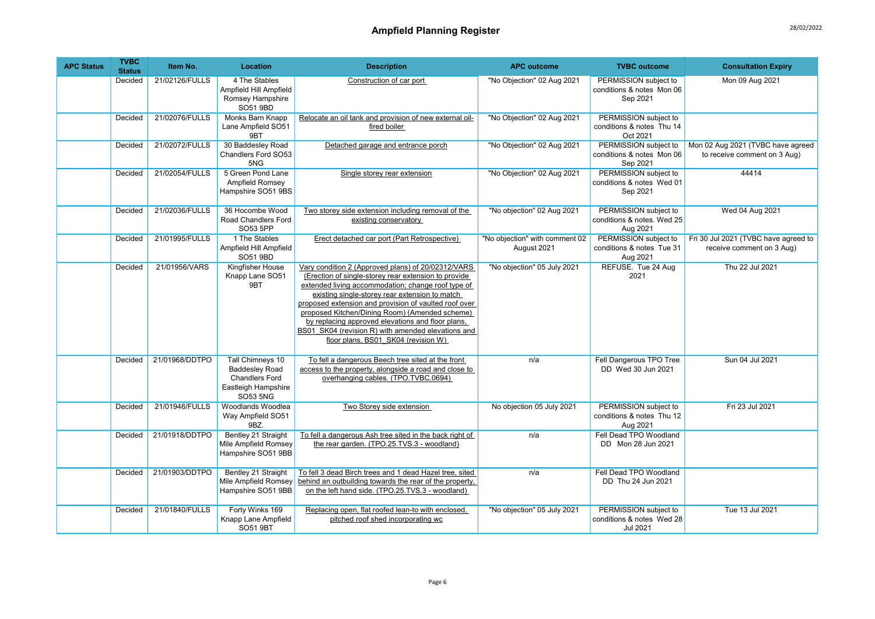| <b>APC Status</b> | <b>TVBC</b><br><b>Status</b> | Item No.       | Location                                                                                                     | <b>Description</b>                                                                                                                                                                                                                                                                                                                                                                                                                                                              | <b>APC outcome</b>                            | <b>TVBC</b> outcome                                             | <b>Consultation Expiry</b>                                        |
|-------------------|------------------------------|----------------|--------------------------------------------------------------------------------------------------------------|---------------------------------------------------------------------------------------------------------------------------------------------------------------------------------------------------------------------------------------------------------------------------------------------------------------------------------------------------------------------------------------------------------------------------------------------------------------------------------|-----------------------------------------------|-----------------------------------------------------------------|-------------------------------------------------------------------|
|                   | Decided                      | 21/02126/FULLS | 4 The Stables<br>Ampfield Hill Ampfield<br>Romsey Hampshire<br>SO51 9BD                                      | Construction of car port                                                                                                                                                                                                                                                                                                                                                                                                                                                        | "No Objection" 02 Aug 2021                    | PERMISSION subject to<br>conditions & notes Mon 06<br>Sep 2021  | Mon 09 Aug 2021                                                   |
|                   | Decided                      | 21/02076/FULLS | Monks Barn Knapp<br>Lane Ampfield SO51<br>9BT                                                                | Relocate an oil tank and provision of new external oil-<br>fired boiler                                                                                                                                                                                                                                                                                                                                                                                                         | "No Objection" 02 Aug 2021                    | PERMISSION subject to<br>conditions & notes Thu 14<br>Oct 2021  |                                                                   |
|                   | Decided                      | 21/02072/FULLS | 30 Baddesley Road<br>Chandlers Ford SO53<br>5NG                                                              | Detached garage and entrance porch                                                                                                                                                                                                                                                                                                                                                                                                                                              | "No Objection" 02 Aug 2021                    | PERMISSION subject to<br>conditions & notes Mon 06<br>Sep 2021  | Mon 02 Aug 2021 (TVBC have agreed<br>to receive comment on 3 Aug) |
|                   | Decided                      | 21/02054/FULLS | 5 Green Pond Lane<br>Ampfield Romsey<br>Hampshire SO51 9BS                                                   | Single storey rear extension                                                                                                                                                                                                                                                                                                                                                                                                                                                    | "No Objection" 02 Aug 2021                    | PERMISSION subject to<br>conditions & notes Wed 01<br>Sep 2021  | 44414                                                             |
|                   | Decided                      | 21/02036/FULLS | 36 Hocombe Wood<br>Road Chandlers Ford<br>SO53 5PP                                                           | Two storey side extension including removal of the<br>existing conservatory                                                                                                                                                                                                                                                                                                                                                                                                     | "No objection" 02 Aug 2021                    | PERMISSION subject to<br>conditions & notes. Wed 25<br>Aug 2021 | Wed 04 Aug 2021                                                   |
|                   | Decided                      | 21/01995/FULLS | 1 The Stables<br>Ampfield Hill Ampfield<br>SO51 9BD                                                          | Erect detached car port (Part Retrospective)                                                                                                                                                                                                                                                                                                                                                                                                                                    | "No objection" with comment 02<br>August 2021 | PERMISSION subject to<br>conditions & notes Tue 31<br>Aug 2021  | Fri 30 Jul 2021 (TVBC have agreed to<br>receive comment on 3 Aug) |
|                   | Decided                      | 21/01956/VARS  | Kingfisher House<br>Knapp Lane SO51<br>9BT                                                                   | Vary condition 2 (Approved plans) of 20/02312/VARS<br>(Erection of single-storey rear extension to provide<br>extended living accommodation; change roof type of<br>existing single-storey rear extension to match<br>proposed extension and provision of vaulted roof over<br>proposed Kitchen/Dining Room) (Amended scheme)<br>by replacing approved elevations and floor plans,<br>BS01 SK04 (revision R) with amended elevations and<br>floor plans, BS01 SK04 (revision W) | "No objection" 05 July 2021                   | REFUSE. Tue 24 Aug<br>2021                                      | Thu 22 Jul 2021                                                   |
|                   | Decided                      | 21/01968/DDTPO | Tall Chimneys 10<br><b>Baddesley Road</b><br><b>Chandlers Ford</b><br>Eastleigh Hampshire<br><b>SO53 5NG</b> | To fell a dangerous Beech tree sited at the front<br>access to the property, alongside a road and close to<br>overhanging cables. (TPO.TVBC.0694)                                                                                                                                                                                                                                                                                                                               | n/a                                           | Fell Dangerous TPO Tree<br>DD Wed 30 Jun 2021                   | Sun 04 Jul 2021                                                   |
|                   | Decided                      | 21/01946/FULLS | Woodlands Woodlea<br>Way Ampfield SO51<br>9BZ.                                                               | Two Storey side extension                                                                                                                                                                                                                                                                                                                                                                                                                                                       | No objection 05 July 2021                     | PERMISSION subject to<br>conditions & notes Thu 12<br>Aug 2021  | Fri 23 Jul 2021                                                   |
|                   | Decided                      | 21/01918/DDTPO | Bentley 21 Straight<br>Mile Ampfield Romsey<br>Hampshire SO51 9BB                                            | To fell a dangerous Ash tree sited in the back right of<br>the rear garden. (TPO.25.TVS.3 - woodland)                                                                                                                                                                                                                                                                                                                                                                           | n/a                                           | Fell Dead TPO Woodland<br>DD Mon 28 Jun 2021                    |                                                                   |
|                   | Decided                      | 21/01903/DDTPO | Bentley 21 Straight<br>Mile Ampfield Romsey<br>Hampshire SO51 9BB                                            | To fell 3 dead Birch trees and 1 dead Hazel tree, sited<br>behind an outbuilding towards the rear of the property,<br>on the left hand side. (TPO.25.TVS.3 - woodland)                                                                                                                                                                                                                                                                                                          | n/a                                           | Fell Dead TPO Woodland<br>DD Thu 24 Jun 2021                    |                                                                   |
|                   | Decided                      | 21/01840/FULLS | Forty Winks 169<br>Knapp Lane Ampfield<br><b>SO51 9BT</b>                                                    | Replacing open, flat roofed lean-to with enclosed,<br>pitched roof shed incorporating wc                                                                                                                                                                                                                                                                                                                                                                                        | "No objection" 05 July 2021                   | PERMISSION subject to<br>conditions & notes Wed 28<br>Jul 2021  | Tue 13 Jul 2021                                                   |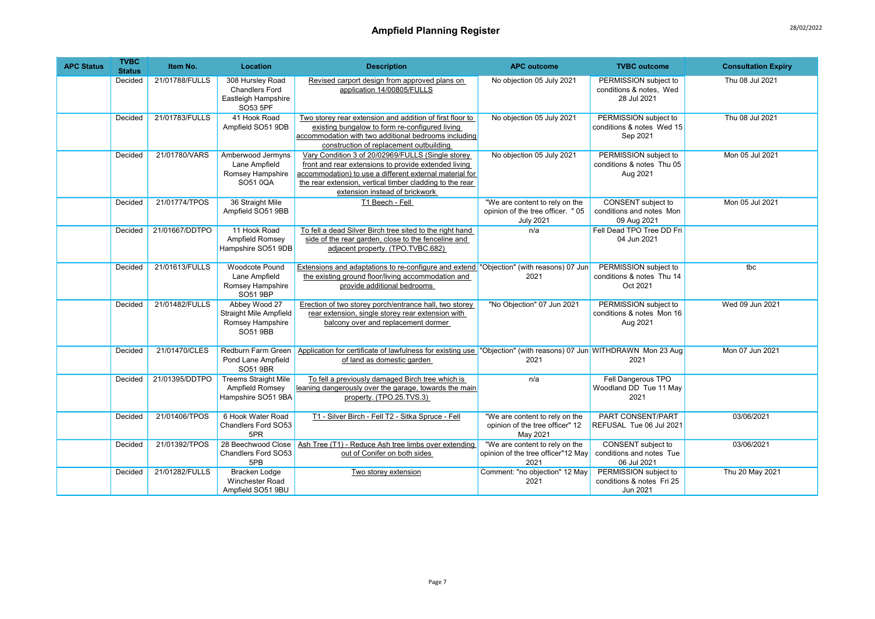| <b>APC Status</b> | <b>TVBC</b><br><b>Status</b> | Item No.       | Location                                                                              | <b>Description</b>                                                                                                                                                                                                                                                  | <b>APC outcome</b>                                                                     | <b>TVBC</b> outcome                                                  | <b>Consultation Expiry</b> |
|-------------------|------------------------------|----------------|---------------------------------------------------------------------------------------|---------------------------------------------------------------------------------------------------------------------------------------------------------------------------------------------------------------------------------------------------------------------|----------------------------------------------------------------------------------------|----------------------------------------------------------------------|----------------------------|
|                   | Decided                      | 21/01788/FULLS | 308 Hursley Road<br><b>Chandlers Ford</b><br>Eastleigh Hampshire<br>SO53 5PF          | Revised carport design from approved plans on<br>application 14/00805/FULLS                                                                                                                                                                                         | No objection 05 July 2021                                                              | PERMISSION subject to<br>conditions & notes, Wed<br>28 Jul 2021      | Thu 08 Jul 2021            |
|                   | Decided                      | 21/01783/FULLS | 41 Hook Road<br>Ampfield SO51 9DB                                                     | Two storey rear extension and addition of first floor to<br>existing bungalow to form re-configured living<br>accommodation with two additional bedrooms including<br>construction of replacement outbuilding                                                       | No objection 05 July 2021                                                              | PERMISSION subject to<br>conditions & notes Wed 15<br>Sep 2021       | Thu 08 Jul 2021            |
|                   | Decided                      | 21/01780/VARS  | Amberwood Jermyns<br>Lane Ampfield<br>Romsey Hampshire<br>SO51 0QA                    | Vary Condition 3 of 20/02969/FULLS (Single storey)<br>front and rear extensions to provide extended living<br>accommodation) to use a different external material for<br>the rear extension, vertical timber cladding to the rear<br>extension instead of brickwork | No objection 05 July 2021                                                              | PERMISSION subject to<br>conditions & notes Thu 05<br>Aug 2021       | Mon 05 Jul 2021            |
|                   | Decided                      | 21/01774/TPOS  | 36 Straight Mile<br>Ampfield SO51 9BB                                                 | T1 Beech - Fell                                                                                                                                                                                                                                                     | "We are content to rely on the<br>opinion of the tree officer. "05<br><b>July 2021</b> | CONSENT subject to<br>conditions and notes Mon<br>09 Aug 2021        | Mon 05 Jul 2021            |
|                   | Decided                      | 21/01667/DDTPO | 11 Hook Road<br>Ampfield Romsey<br>Hampshire SO51 9DB                                 | To fell a dead Silver Birch tree sited to the right hand<br>side of the rear garden, close to the fenceline and<br>adjacent property. (TPO.TVBC.682)                                                                                                                | n/a                                                                                    | Fell Dead TPO Tree DD Fri<br>04 Jun 2021                             |                            |
|                   | Decided                      | 21/01613/FULLS | <b>Woodcote Pound</b><br>Lane Ampfield<br>Romsey Hampshire<br>SO51 9BP                | Extensions and adaptations to re-configure and extend "Objection" (with reasons) 07 Jun<br>the existing ground floor/living accommodation and<br>provide additional bedrooms                                                                                        | 2021                                                                                   | PERMISSION subject to<br>conditions & notes Thu 14<br>Oct 2021       | tbc                        |
|                   | Decided                      | 21/01482/FULLS | Abbey Wood 27<br><b>Straight Mile Ampfield</b><br>Romsey Hampshire<br><b>SO51 9BB</b> | Erection of two storey porch/entrance hall, two storey<br>rear extension, single storey rear extension with<br>balcony over and replacement dormer                                                                                                                  | "No Objection" 07 Jun 2021                                                             | PERMISSION subject to<br>conditions & notes Mon 16<br>Aug 2021       | Wed 09 Jun 2021            |
|                   | Decided                      | 21/01470/CLES  | Redburn Farm Green<br>Pond Lane Ampfield<br><b>SO51 9BR</b>                           | Application for certificate of lawfulness for existing use "Objection" (with reasons) 07 Jun WITHDRAWN Mon 23 Aug<br>of land as domestic garden                                                                                                                     | 2021                                                                                   | 2021                                                                 | Mon 07 Jun 2021            |
|                   | Decided                      | 21/01395/DDTPO | <b>Treems Straight Mile</b><br>Ampfield Romsey<br>Hampshire SO51 9BA                  | To fell a previously damaged Birch tree which is<br>leaning dangerously over the garage, towards the main<br>property. (TPO.25.TVS.3)                                                                                                                               | n/a                                                                                    | Fell Dangerous TPO<br>Woodland DD Tue 11 May<br>2021                 |                            |
|                   | Decided                      | 21/01406/TPOS  | 6 Hook Water Road<br>Chandlers Ford SO53<br>5PR                                       | T1 - Silver Birch - Fell T2 - Sitka Spruce - Fell                                                                                                                                                                                                                   | "We are content to rely on the<br>opinion of the tree officer" 12<br>May 2021          | PART CONSENT/PART<br>REFUSAL Tue 06 Jul 2021                         | 03/06/2021                 |
|                   | Decided                      | 21/01392/TPOS  | 28 Beechwood Close<br>Chandlers Ford SO53<br>5PB                                      | Ash Tree (T1) - Reduce Ash tree limbs over extending<br>out of Conifer on both sides                                                                                                                                                                                | "We are content to rely on the<br>opinion of the tree officer"12 May<br>2021           | <b>CONSENT</b> subject to<br>conditions and notes Tue<br>06 Jul 2021 | 03/06/2021                 |
|                   | Decided                      | 21/01282/FULLS | <b>Bracken Lodge</b><br><b>Winchester Road</b><br>Ampfield SO51 9BU                   | Two storey extension                                                                                                                                                                                                                                                | Comment: "no objection" 12 May<br>2021                                                 | PERMISSION subject to<br>conditions & notes Fri 25<br>Jun 2021       | Thu 20 May 2021            |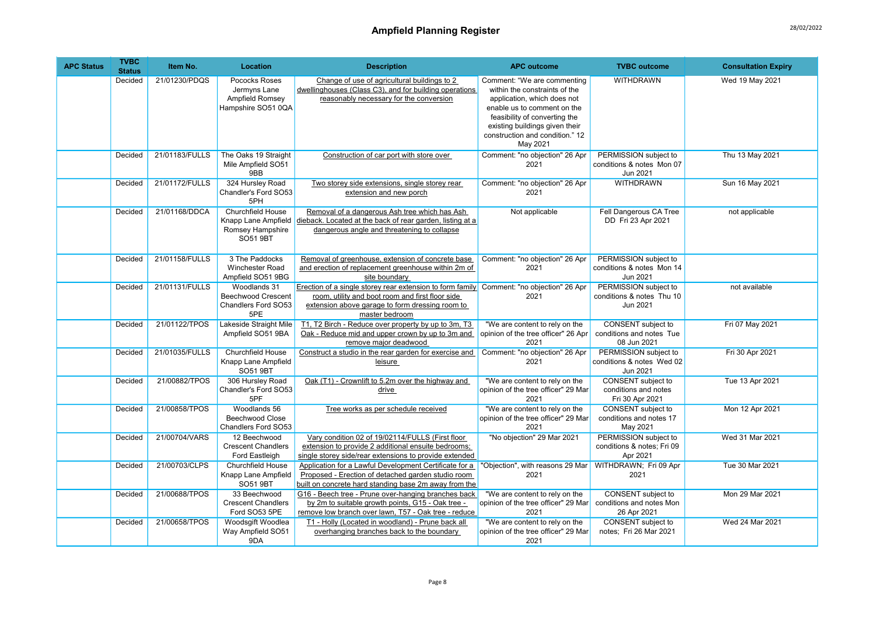| <b>APC Status</b> | <b>TVBC</b><br><b>Status</b> | Item No.       | Location                                                                        | <b>Description</b>                                                                                                                                                                                                | <b>APC outcome</b>                                                                                                                                                                                                                           | <b>TVBC</b> outcome                                                  | <b>Consultation Expiry</b> |
|-------------------|------------------------------|----------------|---------------------------------------------------------------------------------|-------------------------------------------------------------------------------------------------------------------------------------------------------------------------------------------------------------------|----------------------------------------------------------------------------------------------------------------------------------------------------------------------------------------------------------------------------------------------|----------------------------------------------------------------------|----------------------------|
|                   | Decided                      | 21/01230/PDOS  | Pococks Roses<br>Jermyns Lane<br>Ampfield Romsey<br>Hampshire SO51 0QA          | Change of use of agricultural buildings to 2<br>dwellinghouses (Class C3), and for building operations<br>reasonably necessary for the conversion                                                                 | Comment: "We are commenting<br>within the constraints of the<br>application, which does not<br>enable us to comment on the<br>feasibility of converting the<br>existing buildings given their<br>construction and condition." 12<br>May 2021 | <b>WITHDRAWN</b>                                                     | Wed 19 May 2021            |
|                   | Decided                      | 21/01183/FULLS | The Oaks 19 Straight<br>Mile Ampfield SO51<br>9BB                               | Construction of car port with store over                                                                                                                                                                          | Comment: "no objection" 26 Apr<br>2021                                                                                                                                                                                                       | PERMISSION subject to<br>conditions & notes Mon 07<br>Jun 2021       | Thu 13 May 2021            |
|                   | Decided                      | 21/01172/FULLS | 324 Hursley Road<br>Chandler's Ford SO53<br>5PH                                 | Two storey side extensions, single storey rear<br>extension and new porch                                                                                                                                         | Comment: "no objection" 26 Apr<br>2021                                                                                                                                                                                                       | <b>WITHDRAWN</b>                                                     | Sun 16 May 2021            |
|                   | Decided                      | 21/01168/DDCA  | Churchfield House<br>Knapp Lane Ampfield<br>Romsey Hampshire<br><b>SO51 9BT</b> | Removal of a dangerous Ash tree which has Ash<br>dieback. Located at the back of rear garden, listing at a<br>dangerous angle and threatening to collapse                                                         | Not applicable                                                                                                                                                                                                                               | Fell Dangerous CA Tree<br>DD Fri 23 Apr 2021                         | not applicable             |
|                   | Decided                      | 21/01158/FULLS | 3 The Paddocks<br>Winchester Road<br>Ampfield SO51 9BG                          | Removal of greenhouse, extension of concrete base<br>and erection of replacement greenhouse within 2m of<br>site boundary                                                                                         | Comment: "no objection" 26 Apr<br>2021                                                                                                                                                                                                       | PERMISSION subject to<br>conditions & notes Mon 14<br>Jun 2021       |                            |
|                   | Decided                      | 21/01131/FULLS | Woodlands 31<br><b>Beechwood Crescent</b><br>Chandlers Ford SO53<br>5PE         | Erection of a single storey rear extension to form family Comment: "no objection" 26 Apr<br>room, utility and boot room and first floor side<br>extension above garage to form dressing room to<br>master bedroom | 2021                                                                                                                                                                                                                                         | PERMISSION subject to<br>conditions & notes Thu 10<br>Jun 2021       | not available              |
|                   | Decided                      | 21/01122/TPOS  | Lakeside Straight Mile<br>Ampfield SO51 9BA                                     | T1, T2 Birch - Reduce over property by up to 3m, T3<br>Oak - Reduce mid and upper crown by up to 3m and<br>remove major deadwood                                                                                  | "We are content to rely on the<br>opinion of the tree officer" 26 Apr<br>2021                                                                                                                                                                | CONSENT subject to<br>conditions and notes Tue<br>08 Jun 2021        | Fri 07 May 2021            |
|                   | Decided                      | 21/01035/FULLS | Churchfield House<br>Knapp Lane Ampfield<br><b>SO51 9BT</b>                     | Construct a studio in the rear garden for exercise and<br>leisure                                                                                                                                                 | Comment: "no objection" 26 Apr<br>2021                                                                                                                                                                                                       | PERMISSION subject to<br>conditions & notes Wed 02<br>Jun 2021       | Fri 30 Apr 2021            |
|                   | Decided                      | 21/00882/TPOS  | 306 Hursley Road<br>Chandler's Ford SO53<br>5PF                                 | Oak (T1) - Crownlift to 5.2m over the highway and<br>drive                                                                                                                                                        | "We are content to rely on the<br>opinion of the tree officer" 29 Mar<br>2021                                                                                                                                                                | CONSENT subject to<br>conditions and notes<br>Fri 30 Apr 2021        | Tue 13 Apr 2021            |
|                   | Decided                      | 21/00858/TPOS  | Woodlands 56<br><b>Beechwood Close</b><br>Chandlers Ford SO53                   | Tree works as per schedule received                                                                                                                                                                               | "We are content to rely on the<br>opinion of the tree officer" 29 Mar<br>2021                                                                                                                                                                | CONSENT subject to<br>conditions and notes 17<br>May 2021            | Mon 12 Apr 2021            |
|                   | Decided                      | 21/00704/VARS  | 12 Beechwood<br><b>Crescent Chandlers</b><br>Ford Eastleigh                     | Vary condition 02 of 19/02114/FULLS (First floor<br>extension to provide 2 additional ensuite bedrooms;<br>single storey side/rear extensions to provide extended                                                 | "No objection" 29 Mar 2021                                                                                                                                                                                                                   | PERMISSION subject to<br>conditions & notes; Fri 09<br>Apr 2021      | Wed 31 Mar 2021            |
|                   | Decided                      | 21/00703/CLPS  | Churchfield House<br>Knapp Lane Ampfield<br><b>SO51 9BT</b>                     | Application for a Lawful Development Certificate for a<br>Proposed - Erection of detached garden studio room<br>built on concrete hard standing base 2m away from the                                             | "Objection", with reasons 29 Mar   WITHDRAWN; Fri 09 Apr<br>2021                                                                                                                                                                             | 2021                                                                 | Tue 30 Mar 2021            |
|                   | Decided                      | 21/00688/TPOS  | 33 Beechwood<br><b>Crescent Chandlers</b><br>Ford SO53 5PE                      | G16 - Beech tree - Prune over-hanging branches back<br>by 2m to suitable growth points, G15 - Oak tree -<br>remove low branch over lawn, T57 - Oak tree - reduce                                                  | "We are content to rely on the<br>opinion of the tree officer" 29 Mar<br>2021                                                                                                                                                                | <b>CONSENT</b> subject to<br>conditions and notes Mon<br>26 Apr 2021 | Mon 29 Mar 2021            |
|                   | Decided                      | 21/00658/TPOS  | Woodsgift Woodlea<br>Way Ampfield SO51<br>9DA                                   | T1 - Holly (Located in woodland) - Prune back all<br>overhanging branches back to the boundary                                                                                                                    | "We are content to rely on the<br>opinion of the tree officer" 29 Mar<br>2021                                                                                                                                                                | CONSENT subject to<br>notes: Fri 26 Mar 2021                         | Wed 24 Mar 2021            |